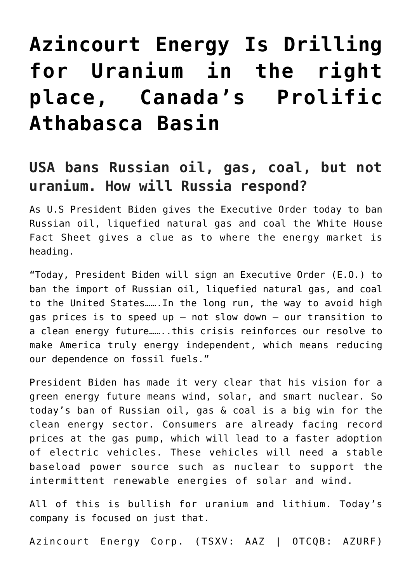# **[Azincourt Energy Is Drilling](https://investorintel.com/markets/uranium-energy/uranium-energy-intel/azincourt-energy-is-drilling-for-uranium-in-the-right-place-canadas-prolific-athabasca-basin/) [for Uranium in the right](https://investorintel.com/markets/uranium-energy/uranium-energy-intel/azincourt-energy-is-drilling-for-uranium-in-the-right-place-canadas-prolific-athabasca-basin/) [place, Canada's Prolific](https://investorintel.com/markets/uranium-energy/uranium-energy-intel/azincourt-energy-is-drilling-for-uranium-in-the-right-place-canadas-prolific-athabasca-basin/) [Athabasca Basin](https://investorintel.com/markets/uranium-energy/uranium-energy-intel/azincourt-energy-is-drilling-for-uranium-in-the-right-place-canadas-prolific-athabasca-basin/)**

## **USA bans Russian oil, gas, coal, but not uranium. How will Russia respond?**

As U.S President Biden gives the Executive Order today to ban Russian oil, liquefied natural gas and coal the [White House](https://www.whitehouse.gov/briefing-room/statements-releases/2022/03/08/fact-sheet-united-states-bans-imports-of-russian-oil-liquefied-natural-gas-and-coal/) [Fact Sheet](https://www.whitehouse.gov/briefing-room/statements-releases/2022/03/08/fact-sheet-united-states-bans-imports-of-russian-oil-liquefied-natural-gas-and-coal/) gives a clue as to where the energy market is heading.

"Today, President Biden will sign an Executive Order (E.O.) to ban the import of Russian oil, liquefied natural gas, and coal to the United States…….In the long run, the way to avoid high gas prices is to speed up – not slow down – our transition to a clean energy future……..this crisis reinforces our resolve to make America truly energy independent, which means reducing our dependence on fossil fuels."

President Biden has made it very clear that his vision for a green energy future means wind, solar, and smart nuclear. So today's ban of Russian oil, gas & coal is a big win for the clean energy sector. Consumers are already facing record prices at the gas pump, which will lead to a faster adoption of electric vehicles. These vehicles will need a stable baseload power source such as nuclear to support the intermittent renewable energies of solar and wind.

All of this is bullish for uranium and lithium. Today's company is focused on just that.

[Azincourt Energy Corp.](https://www.azincourtenergy.com/) (TSXV: AAZ | OTCQB: AZURF)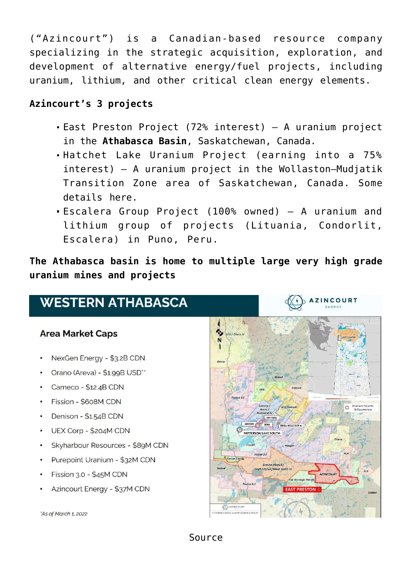("Azincourt") is a Canadian-based resource company specializing in the strategic acquisition, exploration, and development of alternative energy/fuel projects, including uranium, lithium, and other critical clean energy elements.

### **Azincourt's 3 projects**

- [East Preston Project](https://www.azincourtenergy.com/projects/east-preston-sk-canada.html) (72% interest) A uranium project in the **Athabasca Basin**, Saskatchewan, Canada.
- [Hatchet Lake Uranium Project](https://www.azincourtenergy.com/projects/hatchet-lake-uranium-project.html) (earning into a 75% interest) – A uranium project in the Wollaston–Mudjatik Transition Zone area of Saskatchewan, Canada. Some details [here.](https://investorintel.com/markets/uranium-energy/uranium-energy-news/azincourt-energy-to-acquire-up-to-75-interest-in-the-hatchet-lake-uranium-project-ne-athabasca-basin-sasakatchewan/)
- [Escalera Group Project](https://www.azincourtenergy.com/projects/escalera-lituania-condorlit-peru.html) (100% owned) A uranium and lithium group of projects (Lituania, Condorlit, Escalera) in Puno, Peru.

**The Athabasca basin is home to multiple large very high grade uranium mines and projects**

## **WESTERN ATHABASCA**

#### **Area Market Caps**

- NexGen Energy \$3.2B CDN
- Orano (Areva) \$1.99B USD"
- Cameco \$12.4B CDN
- · Fission \$608M CDN
- Denison \$1.54B CDN
- UEX Corp \$204M CDN
- Skyharbour Resources \$89M CDN
- Purepoint Uranium \$32M CDN
- Fission 3.0 \$45M CDN
- Azincourt Energy \$37M CDN

'As of March 1, 2022



[Source](https://www.azincourtenergy.com/images/Pdf/corporate_presentation/2021/Azincourt_Presentation_-FEB_2022_1A.pdf)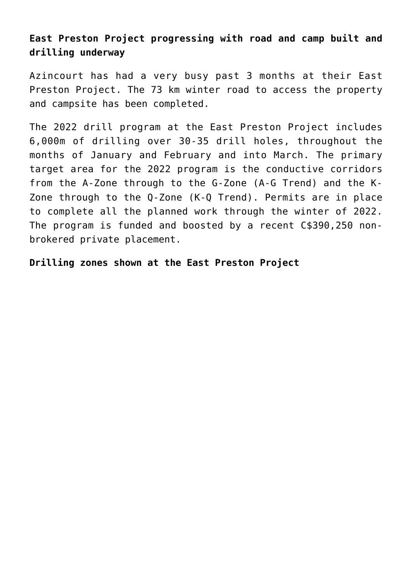## **East Preston Project progressing with road and camp built and drilling underway**

Azincourt has had a very busy past 3 months at their East Preston Project. The 73 km winter road to access the property and campsite [has been completed](https://investorintel.com/markets/uranium-energy/uranium-energy-news/azincourt-energy-updates-camp-construction-and-drill-mobilization-at-the-east-preston-uranium-project/).

The 2022 drill program at the East Preston Project includes [6,000m](https://investorintel.com/markets/uranium-energy/uranium-energy-news/azincourt-energy-updates-camp-construction-and-drill-mobilization-at-the-east-preston-uranium-project/) of drilling over 30-35 drill holes, [throughout the](https://investorintel.com/markets/uranium-energy/uranium-energy-news/azincourt-energy-road-camp-access-nearing-completion-at-the-east-preston-uranium-project/) [months of](https://investorintel.com/markets/uranium-energy/uranium-energy-news/azincourt-energy-road-camp-access-nearing-completion-at-the-east-preston-uranium-project/) January and February and into March. The primary target area for the 2022 program is the conductive corridors from the A-Zone through to the G-Zone (A-G Trend) and the K-Zone through to the Q-Zone (K-Q Trend). Permits are in place to complete all the planned work through the winter of 2022. The program is funded and boosted by a recent [C\\$390,250 non](https://investorintel.com/markets/uranium-energy/uranium-energy-news/azincourt-energy-provides-update-on-drilling-progress-at-the-east-preston-uranium-project/)[brokered private placement.](https://investorintel.com/markets/uranium-energy/uranium-energy-news/azincourt-energy-provides-update-on-drilling-progress-at-the-east-preston-uranium-project/)

**Drilling zones shown at the East Preston Project**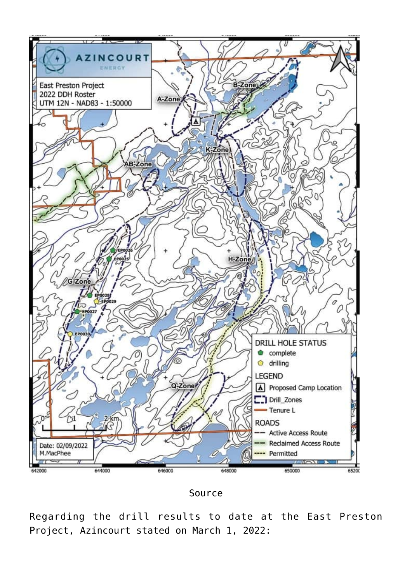



Regarding the drill results to date at the East Preston Project, Azincourt [stated](https://investorintel.com/markets/uranium-energy/uranium-energy-news/azincourt-energy-reports-elevated-radioactivity-within-significant-alteration-zone-at-the-east-preston-uranium-project/) on March 1, 2022: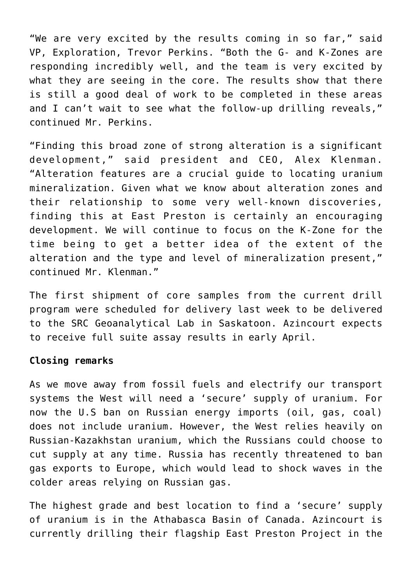"We are very excited by the results coming in so far," said VP, Exploration, Trevor Perkins. "Both the G- and K-Zones are responding incredibly well, and the team is very excited by what they are seeing in the core. The results show that there is still a good deal of work to be completed in these areas and I can't wait to see what the follow-up drilling reveals," continued Mr. Perkins.

"Finding this broad zone of strong alteration is a significant development," said president and CEO, Alex Klenman. "Alteration features are a crucial guide to locating uranium mineralization. Given what we know about alteration zones and their relationship to some very well-known discoveries, finding this at East Preston is certainly an encouraging development. We will continue to focus on the K-Zone for the time being to get a better idea of the extent of the alteration and the type and level of mineralization present," continued Mr. Klenman."

The first shipment of core samples from the current drill program were scheduled for delivery last week to be delivered to the SRC Geoanalytical Lab in Saskatoon. Azincourt expects to receive full suite assay results in early April.

#### **Closing remarks**

As we move away from fossil fuels and electrify our transport systems the West will need a 'secure' supply of uranium. For now the U.S ban on Russian energy imports (oil, gas, coal) [does not include uranium](https://www.reuters.com/business/energy/us-ban-russian-energy-imports-doesnt-include-uranium-source-2022-03-08/). However, the West relies heavily on Russian-Kazakhstan uranium, which the Russians could choose to cut supply at any time. Russia has recently [threatened to ban](https://www.cnbc.com/2022/03/08/russia-warns-of-300-oil-if-ban-goes-ahead-threatens-to-cut-off-european-gas.html) [gas exports to Europe,](https://www.cnbc.com/2022/03/08/russia-warns-of-300-oil-if-ban-goes-ahead-threatens-to-cut-off-european-gas.html) which would lead to shock waves in the colder areas relying on Russian gas.

The highest grade and best location to find a 'secure' supply of uranium is in the Athabasca Basin of Canada. Azincourt is currently drilling their flagship East Preston Project in the